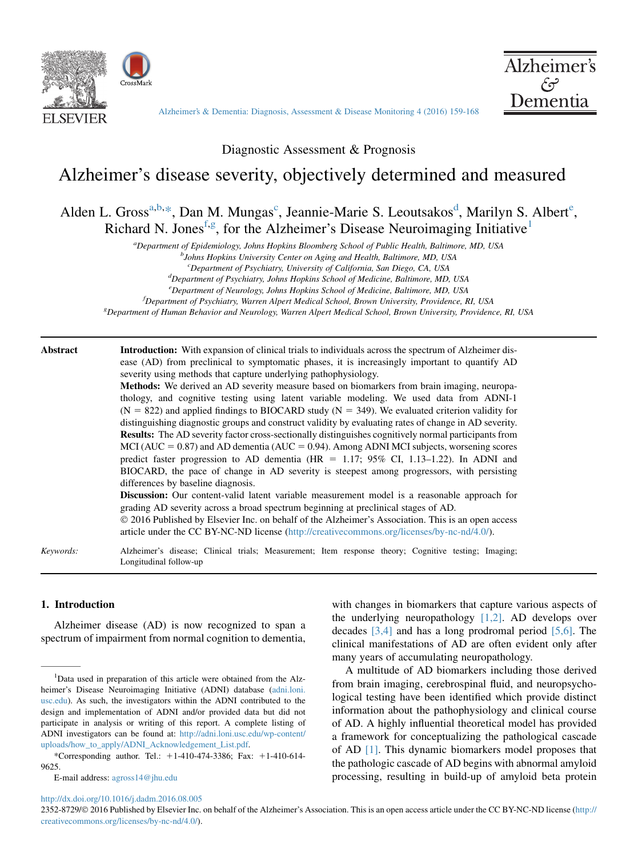

[Alzheimer's & Dementia: Diagnosis, Assessment & Disease Monitoring 4 \(2016\) 159-168](http://dx.doi.org/10.1016/j.dadm.2016.08.005)



Diagnostic Assessment & Prognosis

# Alzheimer's disease severity, objectively determined and measured

Alden L. Gross<sup>a,b,\*</sup>, Dan M. Mungas<sup>c</sup>, Jeannie-Marie S. Leoutsakos<sup>d</sup>, Marilyn S. Albert<sup>e</sup>, Richard N. Jones<sup>f,g</sup>, for the Alzheimer's Disease Neuroimaging Initiative<sup>1</sup>

<sup>a</sup> Department of Epidemiology, Johns Hopkins Bloomberg School of Public Health, Baltimore, MD, USA<br>b Johns Hopkins University Center on Agine and Health, Baltimore, MD, USA

 $^b$ Johns Hopkins University Center on Aging and Health, Baltimore, MD, USA

<sup>c</sup> Department of Psychiatry, University of California, San Diego, CA, USA<br><sup>d</sup> Department of Psychiatry, Johne Hopkine School of Medicine, Paltimore, MD

Department of Psychiatry, Johns Hopkins School of Medicine, Baltimore, MD, USA

e Department of Neurology, Johns Hopkins School of Medicine, Baltimore, MD, USA

<sup>f</sup>Department of Psychiatry, Warren Alpert Medical School, Brown University, Providence, RI, USA

g Department of Human Behavior and Neurology, Warren Alpert Medical School, Brown University, Providence, RI, USA

Abstract Introduction: With expansion of clinical trials to individuals across the spectrum of Alzheimer disease (AD) from preclinical to symptomatic phases, it is increasingly important to quantify AD severity using methods that capture underlying pathophysiology.

> Methods: We derived an AD severity measure based on biomarkers from brain imaging, neuropathology, and cognitive testing using latent variable modeling. We used data from ADNI-1  $(N = 822)$  and applied findings to BIOCARD study  $(N = 349)$ . We evaluated criterion validity for distinguishing diagnostic groups and construct validity by evaluating rates of change in AD severity. Results: The AD severity factor cross-sectionally distinguishes cognitively normal participants from MCI ( $AUC = 0.87$ ) and  $AD$  dementia ( $AUC = 0.94$ ). Among ADNI MCI subjects, worsening scores predict faster progression to AD dementia (HR =  $1.17$ ; 95% CI, 1.13–1.22). In ADNI and BIOCARD, the pace of change in AD severity is steepest among progressors, with persisting differences by baseline diagnosis.

> Discussion: Our content-valid latent variable measurement model is a reasonable approach for grading AD severity across a broad spectrum beginning at preclinical stages of AD.

> 2016 Published by Elsevier Inc. on behalf of the Alzheimer's Association. This is an open access article under the CC BY-NC-ND license ([http://creativecommons.org/licenses/by-nc-nd/4.0/\)](http://creativecommons.org/licenses/by-nc-nd/4.0/).

Keywords: Alzheimer's disease; Clinical trials; Measurement; Item response theory; Cognitive testing; Imaging; Longitudinal follow-up

# 1. Introduction

Alzheimer disease (AD) is now recognized to span a spectrum of impairment from normal cognition to dementia,

E-mail address: [agross14@jhu.edu](mailto:agross14@jhu.edu)

with changes in biomarkers that capture various aspects of the underlying neuropathology [\[1,2\]](#page-8-0). AD develops over decades [\[3,4\]](#page-9-0) and has a long prodromal period [\[5,6\]](#page-9-0). The clinical manifestations of AD are often evident only after many years of accumulating neuropathology.

A multitude of AD biomarkers including those derived from brain imaging, cerebrospinal fluid, and neuropsychological testing have been identified which provide distinct information about the pathophysiology and clinical course of AD. A highly influential theoretical model has provided a framework for conceptualizing the pathological cascade of AD [\[1\].](#page-8-0) This dynamic biomarkers model proposes that the pathologic cascade of AD begins with abnormal amyloid processing, resulting in build-up of amyloid beta protein

#### <http://dx.doi.org/10.1016/j.dadm.2016.08.005>

2352-8729/© 2016 Published by Elsevier Inc. on behalf of the Alzheimer's Association. This is an open access article under the CC BY-NC-ND license ([http://](http://creativecommons.org/licenses/by-nc-nd/4.0/) [creativecommons.org/licenses/by-nc-nd/4.0/](http://creativecommons.org/licenses/by-nc-nd/4.0/)).

<sup>&</sup>lt;sup>1</sup>Data used in preparation of this article were obtained from the Alzheimer's Disease Neuroimaging Initiative (ADNI) database ([adni.loni.](http://adni.loni.usc.edu) [usc.edu](http://adni.loni.usc.edu)). As such, the investigators within the ADNI contributed to the design and implementation of ADNI and/or provided data but did not participate in analysis or writing of this report. A complete listing of ADNI investigators can be found at: [http://adni.loni.usc.edu/wp-content/](http://adni.loni.usc.edu/wp-content/uploads/how_to_apply/ADNI_Acknowledgement_List.pdf) [uploads/how\\_to\\_apply/ADNI\\_Acknowledgement\\_List.pdf](http://adni.loni.usc.edu/wp-content/uploads/how_to_apply/ADNI_Acknowledgement_List.pdf).

<sup>\*</sup>Corresponding author. Tel.:  $+1-410-474-3386$ ; Fax:  $+1-410-614-$ 9625.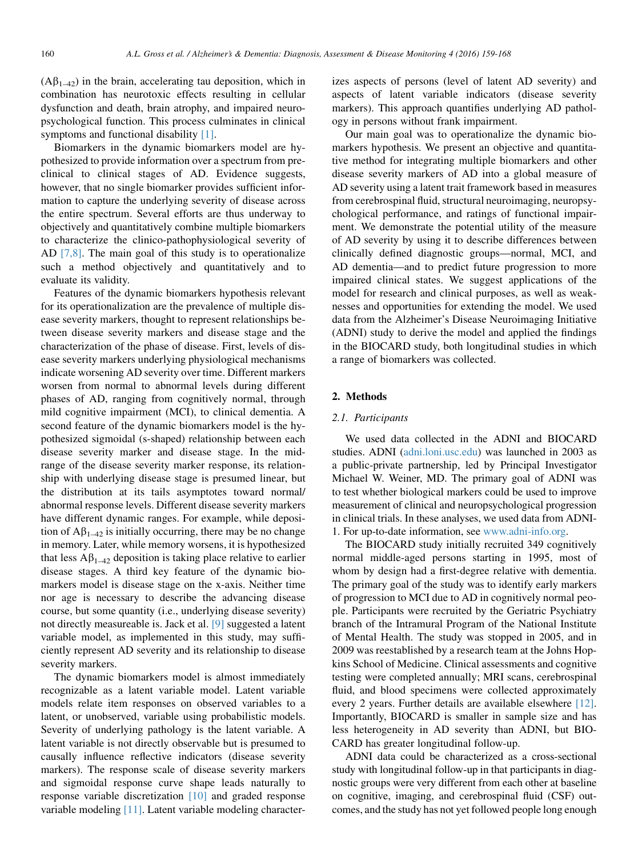$(A\beta_{1-42})$  in the brain, accelerating tau deposition, which in combination has neurotoxic effects resulting in cellular dysfunction and death, brain atrophy, and impaired neuropsychological function. This process culminates in clinical symptoms and functional disability [\[1\]](#page-8-0).

Biomarkers in the dynamic biomarkers model are hypothesized to provide information over a spectrum from preclinical to clinical stages of AD. Evidence suggests, however, that no single biomarker provides sufficient information to capture the underlying severity of disease across the entire spectrum. Several efforts are thus underway to objectively and quantitatively combine multiple biomarkers to characterize the clinico-pathophysiological severity of AD [\[7,8\].](#page-9-0) The main goal of this study is to operationalize such a method objectively and quantitatively and to evaluate its validity.

Features of the dynamic biomarkers hypothesis relevant for its operationalization are the prevalence of multiple disease severity markers, thought to represent relationships between disease severity markers and disease stage and the characterization of the phase of disease. First, levels of disease severity markers underlying physiological mechanisms indicate worsening AD severity over time. Different markers worsen from normal to abnormal levels during different phases of AD, ranging from cognitively normal, through mild cognitive impairment (MCI), to clinical dementia. A second feature of the dynamic biomarkers model is the hypothesized sigmoidal (s-shaped) relationship between each disease severity marker and disease stage. In the midrange of the disease severity marker response, its relationship with underlying disease stage is presumed linear, but the distribution at its tails asymptotes toward normal/ abnormal response levels. Different disease severity markers have different dynamic ranges. For example, while deposition of  $A\beta_{1-42}$  is initially occurring, there may be no change in memory. Later, while memory worsens, it is hypothesized that less  $A\beta_{1-42}$  deposition is taking place relative to earlier disease stages. A third key feature of the dynamic biomarkers model is disease stage on the x-axis. Neither time nor age is necessary to describe the advancing disease course, but some quantity (i.e., underlying disease severity) not directly measureable is. Jack et al. [\[9\]](#page-9-0) suggested a latent variable model, as implemented in this study, may sufficiently represent AD severity and its relationship to disease severity markers.

The dynamic biomarkers model is almost immediately recognizable as a latent variable model. Latent variable models relate item responses on observed variables to a latent, or unobserved, variable using probabilistic models. Severity of underlying pathology is the latent variable. A latent variable is not directly observable but is presumed to causally influence reflective indicators (disease severity markers). The response scale of disease severity markers and sigmoidal response curve shape leads naturally to response variable discretization [\[10\]](#page-9-0) and graded response variable modeling [\[11\]](#page-9-0). Latent variable modeling characterizes aspects of persons (level of latent AD severity) and aspects of latent variable indicators (disease severity markers). This approach quantifies underlying AD pathology in persons without frank impairment.

Our main goal was to operationalize the dynamic biomarkers hypothesis. We present an objective and quantitative method for integrating multiple biomarkers and other disease severity markers of AD into a global measure of AD severity using a latent trait framework based in measures from cerebrospinal fluid, structural neuroimaging, neuropsychological performance, and ratings of functional impairment. We demonstrate the potential utility of the measure of AD severity by using it to describe differences between clinically defined diagnostic groups—normal, MCI, and AD dementia—and to predict future progression to more impaired clinical states. We suggest applications of the model for research and clinical purposes, as well as weaknesses and opportunities for extending the model. We used data from the Alzheimer's Disease Neuroimaging Initiative (ADNI) study to derive the model and applied the findings in the BIOCARD study, both longitudinal studies in which a range of biomarkers was collected.

#### 2. Methods

## 2.1. Participants

We used data collected in the ADNI and BIOCARD studies. ADNI ([adni.loni.usc.edu](http://adni.loni.usc.edu)) was launched in 2003 as a public-private partnership, led by Principal Investigator Michael W. Weiner, MD. The primary goal of ADNI was to test whether biological markers could be used to improve measurement of clinical and neuropsychological progression in clinical trials. In these analyses, we used data from ADNI-1. For up-to-date information, see [www.adni-info.org](http://www.adni-info.org).

The BIOCARD study initially recruited 349 cognitively normal middle-aged persons starting in 1995, most of whom by design had a first-degree relative with dementia. The primary goal of the study was to identify early markers of progression to MCI due to AD in cognitively normal people. Participants were recruited by the Geriatric Psychiatry branch of the Intramural Program of the National Institute of Mental Health. The study was stopped in 2005, and in 2009 was reestablished by a research team at the Johns Hopkins School of Medicine. Clinical assessments and cognitive testing were completed annually; MRI scans, cerebrospinal fluid, and blood specimens were collected approximately every 2 years. Further details are available elsewhere [\[12\].](#page-9-0) Importantly, BIOCARD is smaller in sample size and has less heterogeneity in AD severity than ADNI, but BIO-CARD has greater longitudinal follow-up.

ADNI data could be characterized as a cross-sectional study with longitudinal follow-up in that participants in diagnostic groups were very different from each other at baseline on cognitive, imaging, and cerebrospinal fluid (CSF) outcomes, and the study has not yet followed people long enough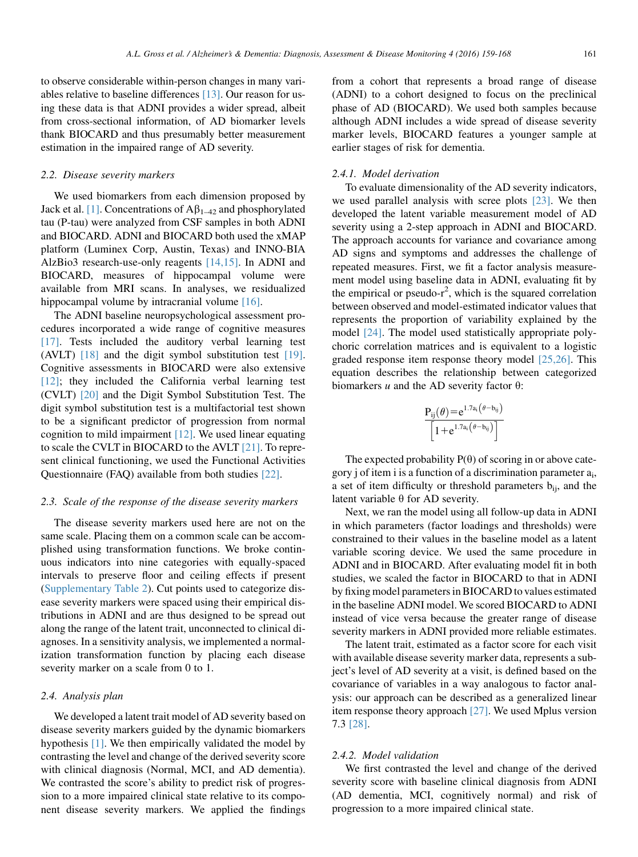to observe considerable within-person changes in many variables relative to baseline differences [\[13\]](#page-9-0). Our reason for using these data is that ADNI provides a wider spread, albeit from cross-sectional information, of AD biomarker levels thank BIOCARD and thus presumably better measurement estimation in the impaired range of AD severity.

# 2.2. Disease severity markers

We used biomarkers from each dimension proposed by Jack et al. [\[1\].](#page-8-0) Concentrations of  $A\beta_{1-42}$  and phosphorylated tau (P-tau) were analyzed from CSF samples in both ADNI and BIOCARD. ADNI and BIOCARD both used the xMAP platform (Luminex Corp, Austin, Texas) and INNO-BIA AlzBio3 research-use-only reagents [\[14,15\]](#page-9-0). In ADNI and BIOCARD, measures of hippocampal volume were available from MRI scans. In analyses, we residualized hippocampal volume by intracranial volume [\[16\].](#page-9-0)

The ADNI baseline neuropsychological assessment procedures incorporated a wide range of cognitive measures [\[17\].](#page-9-0) Tests included the auditory verbal learning test (AVLT) [\[18\]](#page-9-0) and the digit symbol substitution test [\[19\].](#page-9-0) Cognitive assessments in BIOCARD were also extensive [\[12\];](#page-9-0) they included the California verbal learning test (CVLT) [\[20\]](#page-9-0) and the Digit Symbol Substitution Test. The digit symbol substitution test is a multifactorial test shown to be a significant predictor of progression from normal cognition to mild impairment  $[12]$ . We used linear equating to scale the CVLT in BIOCARD to the AVLT [\[21\].](#page-9-0) To represent clinical functioning, we used the Functional Activities Questionnaire (FAQ) available from both studies [\[22\].](#page-9-0)

#### 2.3. Scale of the response of the disease severity markers

The disease severity markers used here are not on the same scale. Placing them on a common scale can be accomplished using transformation functions. We broke continuous indicators into nine categories with equally-spaced intervals to preserve floor and ceiling effects if present (Supplementary Table 2). Cut points used to categorize disease severity markers were spaced using their empirical distributions in ADNI and are thus designed to be spread out along the range of the latent trait, unconnected to clinical diagnoses. In a sensitivity analysis, we implemented a normalization transformation function by placing each disease severity marker on a scale from 0 to 1.

#### 2.4. Analysis plan

We developed a latent trait model of AD severity based on disease severity markers guided by the dynamic biomarkers hypothesis [\[1\]](#page-8-0). We then empirically validated the model by contrasting the level and change of the derived severity score with clinical diagnosis (Normal, MCI, and AD dementia). We contrasted the score's ability to predict risk of progression to a more impaired clinical state relative to its component disease severity markers. We applied the findings from a cohort that represents a broad range of disease (ADNI) to a cohort designed to focus on the preclinical phase of AD (BIOCARD). We used both samples because although ADNI includes a wide spread of disease severity marker levels, BIOCARD features a younger sample at earlier stages of risk for dementia.

#### 2.4.1. Model derivation

To evaluate dimensionality of the AD severity indicators, we used parallel analysis with scree plots [\[23\]](#page-9-0). We then developed the latent variable measurement model of AD severity using a 2-step approach in ADNI and BIOCARD. The approach accounts for variance and covariance among AD signs and symptoms and addresses the challenge of repeated measures. First, we fit a factor analysis measurement model using baseline data in ADNI, evaluating fit by the empirical or pseudo- $r^2$ , which is the squared correlation between observed and model-estimated indicator values that represents the proportion of variability explained by the model [\[24\].](#page-9-0) The model used statistically appropriate polychoric correlation matrices and is equivalent to a logistic graded response item response theory model [\[25,26\]](#page-9-0). This equation describes the relationship between categorized biomarkers u and the AD severity factor  $\theta$ :

$$
\frac{P_{ij}(\theta)\!=\!e^{1.7a_i\left(\theta-b_{ij}\right)}}{\left[1\!+\!e^{1.7a_i\left(\theta-b_{ij}\right)}\right]}
$$

The expected probability  $P(\theta)$  of scoring in or above category j of item i is a function of a discrimination parameter  $a_i$ , a set of item difficulty or threshold parameters  $b_{ii}$ , and the latent variable  $\theta$  for AD severity.

Next, we ran the model using all follow-up data in ADNI in which parameters (factor loadings and thresholds) were constrained to their values in the baseline model as a latent variable scoring device. We used the same procedure in ADNI and in BIOCARD. After evaluating model fit in both studies, we scaled the factor in BIOCARD to that in ADNI by fixing model parameters in BIOCARD to values estimated in the baseline ADNI model. We scored BIOCARD to ADNI instead of vice versa because the greater range of disease severity markers in ADNI provided more reliable estimates.

The latent trait, estimated as a factor score for each visit with available disease severity marker data, represents a subject's level of AD severity at a visit, is defined based on the covariance of variables in a way analogous to factor analysis: our approach can be described as a generalized linear item response theory approach [\[27\].](#page-9-0) We used Mplus version 7.3 [\[28\].](#page-9-0)

# 2.4.2. Model validation

We first contrasted the level and change of the derived severity score with baseline clinical diagnosis from ADNI (AD dementia, MCI, cognitively normal) and risk of progression to a more impaired clinical state.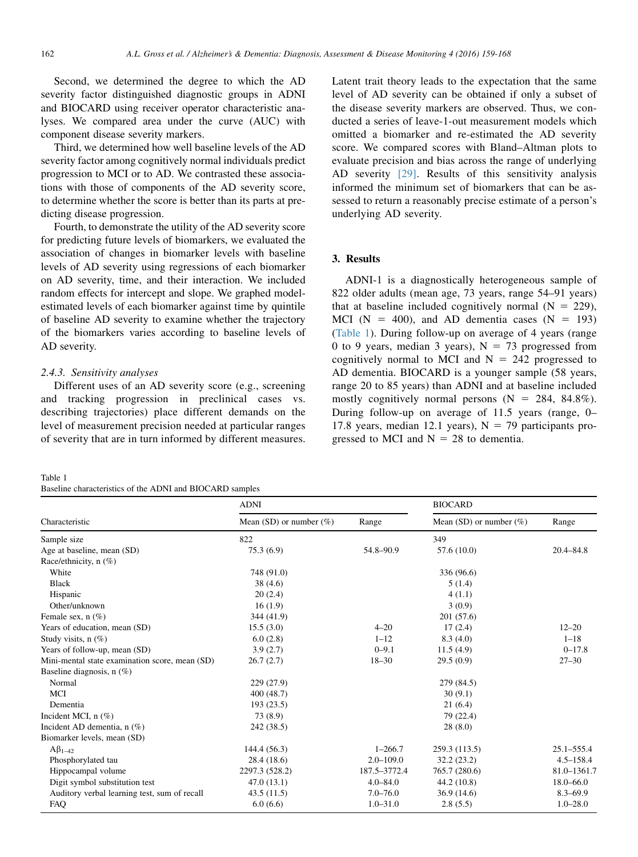Second, we determined the degree to which the AD severity factor distinguished diagnostic groups in ADNI and BIOCARD using receiver operator characteristic analyses. We compared area under the curve (AUC) with component disease severity markers.

Third, we determined how well baseline levels of the AD severity factor among cognitively normal individuals predict progression to MCI or to AD. We contrasted these associations with those of components of the AD severity score, to determine whether the score is better than its parts at predicting disease progression.

Fourth, to demonstrate the utility of the AD severity score for predicting future levels of biomarkers, we evaluated the association of changes in biomarker levels with baseline levels of AD severity using regressions of each biomarker on AD severity, time, and their interaction. We included random effects for intercept and slope. We graphed modelestimated levels of each biomarker against time by quintile of baseline AD severity to examine whether the trajectory of the biomarkers varies according to baseline levels of AD severity.

#### 2.4.3. Sensitivity analyses

Different uses of an AD severity score (e.g., screening and tracking progression in preclinical cases vs. describing trajectories) place different demands on the level of measurement precision needed at particular ranges of severity that are in turn informed by different measures.

| Table 1                                                  |  |
|----------------------------------------------------------|--|
| Baseline characteristics of the ADNI and BIOCARD samples |  |

Latent trait theory leads to the expectation that the same level of AD severity can be obtained if only a subset of the disease severity markers are observed. Thus, we conducted a series of leave-1-out measurement models which omitted a biomarker and re-estimated the AD severity score. We compared scores with Bland–Altman plots to evaluate precision and bias across the range of underlying AD severity [\[29\]](#page-9-0). Results of this sensitivity analysis informed the minimum set of biomarkers that can be assessed to return a reasonably precise estimate of a person's underlying AD severity.

#### 3. Results

ADNI-1 is a diagnostically heterogeneous sample of 822 older adults (mean age, 73 years, range 54–91 years) that at baseline included cognitively normal  $(N = 229)$ , MCI ( $N = 400$ ), and AD dementia cases ( $N = 193$ ) (Table 1). During follow-up on average of 4 years (range 0 to 9 years, median 3 years),  $N = 73$  progressed from cognitively normal to MCI and  $N = 242$  progressed to AD dementia. BIOCARD is a younger sample (58 years, range 20 to 85 years) than ADNI and at baseline included mostly cognitively normal persons  $(N = 284, 84.8\%).$ During follow-up on average of 11.5 years (range, 0– 17.8 years, median 12.1 years),  $N = 79$  participants progressed to MCI and  $N = 28$  to dementia.

|                                                | <b>ADNI</b>                |               | <b>BIOCARD</b>             |                |  |
|------------------------------------------------|----------------------------|---------------|----------------------------|----------------|--|
| Characteristic                                 | Mean (SD) or number $(\%)$ | Range         | Mean (SD) or number $(\%)$ | Range          |  |
| Sample size                                    | 822                        |               | 349                        |                |  |
| Age at baseline, mean (SD)                     | 75.3(6.9)                  | 54.8-90.9     | 57.6 (10.0)                | $20.4 - 84.8$  |  |
| Race/ethnicity, $n$ (%)                        |                            |               |                            |                |  |
| White                                          | 748 (91.0)                 |               | 336 (96.6)                 |                |  |
| <b>Black</b>                                   | 38(4.6)                    |               | 5(1.4)                     |                |  |
| Hispanic                                       | 20(2.4)                    |               | 4(1.1)                     |                |  |
| Other/unknown                                  | 16(1.9)                    |               | 3(0.9)                     |                |  |
| Female sex, $n(\%)$                            | 344 (41.9)                 |               | 201 (57.6)                 |                |  |
| Years of education, mean (SD)                  | 15.5(3.0)                  | $4 - 20$      | 17(2.4)                    | $12 - 20$      |  |
| Study visits, $n$ (%)                          | 6.0(2.8)                   | $1 - 12$      | 8.3(4.0)                   | $1 - 18$       |  |
| Years of follow-up, mean (SD)                  | 3.9(2.7)                   | $0 - 9.1$     | 11.5(4.9)                  | $0 - 17.8$     |  |
| Mini-mental state examination score, mean (SD) | 26.7(2.7)                  | $18 - 30$     | 29.5(0.9)                  | $27 - 30$      |  |
| Baseline diagnosis, $n$ (%)                    |                            |               |                            |                |  |
| Normal                                         | 229(27.9)                  |               | 279 (84.5)                 |                |  |
| <b>MCI</b>                                     | 400 (48.7)                 |               | 30(9.1)                    |                |  |
| Dementia                                       | 193 (23.5)                 |               | 21(6.4)                    |                |  |
| Incident MCI, $n$ (%)                          | 73 (8.9)                   |               | 79 (22.4)                  |                |  |
| Incident AD dementia, $n$ (%)                  | 242 (38.5)                 |               | 28(8.0)                    |                |  |
| Biomarker levels, mean (SD)                    |                            |               |                            |                |  |
| $A\beta_{1-42}$                                | 144.4 (56.3)               | $1 - 266.7$   | 259.3 (113.5)              | $25.1 - 555.4$ |  |
| Phosphorylated tau                             | 28.4(18.6)                 | $2.0 - 109.0$ | 32.2(23.2)                 | $4.5 - 158.4$  |  |
| Hippocampal volume                             | 2297.3 (528.2)             | 187.5-3772.4  | 765.7 (280.6)              | 81.0-1361.7    |  |
| Digit symbol substitution test                 | 47.0(13.1)                 | $4.0 - 84.0$  | 44.2(10.8)                 | $18.0 - 66.0$  |  |
| Auditory verbal learning test, sum of recall   | 43.5(11.5)                 | $7.0 - 76.0$  | 36.9(14.6)                 | $8.3 - 69.9$   |  |
| FAQ                                            | 6.0(6.6)                   | $1.0 - 31.0$  | 2.8(5.5)                   | $1.0 - 28.0$   |  |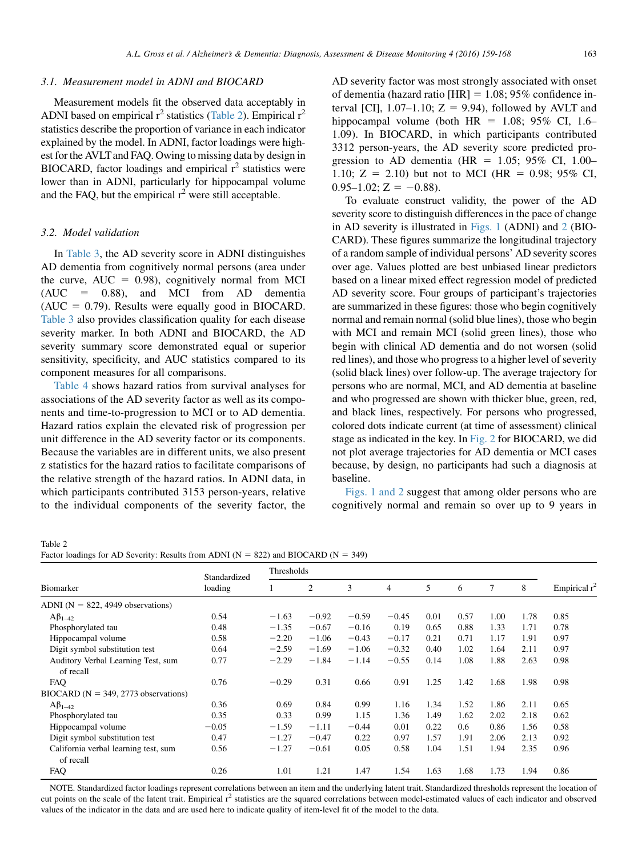# 3.1. Measurement model in ADNI and BIOCARD

Measurement models fit the observed data acceptably in ADNI based on empirical  $r^2$  statistics (Table 2). Empirical  $r^2$ statistics describe the proportion of variance in each indicator explained by the model. In ADNI, factor loadings were highest for the AVLTand FAQ. Owing to missing data by design in BIOCARD, factor loadings and empirical  $r<sup>2</sup>$  statistics were lower than in ADNI, particularly for hippocampal volume and the FAQ, but the empirical  $r^2$  were still acceptable.

#### 3.2. Model validation

In [Table 3,](#page-5-0) the AD severity score in ADNI distinguishes AD dementia from cognitively normal persons (area under the curve,  $AUC = 0.98$ ), cognitively normal from MCI  $(AUC = 0.88)$ , and MCI from AD dementia  $(AUC = 0.79)$ . Results were equally good in BIOCARD. [Table 3](#page-5-0) also provides classification quality for each disease severity marker. In both ADNI and BIOCARD, the AD severity summary score demonstrated equal or superior sensitivity, specificity, and AUC statistics compared to its component measures for all comparisons.

[Table 4](#page-6-0) shows hazard ratios from survival analyses for associations of the AD severity factor as well as its components and time-to-progression to MCI or to AD dementia. Hazard ratios explain the elevated risk of progression per unit difference in the AD severity factor or its components. Because the variables are in different units, we also present z statistics for the hazard ratios to facilitate comparisons of the relative strength of the hazard ratios. In ADNI data, in which participants contributed 3153 person-years, relative to the individual components of the severity factor, the AD severity factor was most strongly associated with onset of dementia (hazard ratio  $[HR] = 1.08$ ; 95% confidence interval [CI],  $1.07-1.10$ ;  $Z = 9.94$ ), followed by AVLT and hippocampal volume (both HR =  $1.08$ ; 95% CI, 1.6– 1.09). In BIOCARD, in which participants contributed 3312 person-years, the AD severity score predicted progression to AD dementia (HR =  $1.05$ ; 95% CI, 1.00– 1.10;  $Z = 2.10$ ) but not to MCI (HR = 0.98; 95% CI,  $0.95-1.02$ ;  $Z = -0.88$ ).

To evaluate construct validity, the power of the AD severity score to distinguish differences in the pace of change in AD severity is illustrated in [Figs. 1](#page-7-0) (ADNI) and [2](#page-7-0) (BIO-CARD). These figures summarize the longitudinal trajectory of a random sample of individual persons' AD severity scores over age. Values plotted are best unbiased linear predictors based on a linear mixed effect regression model of predicted AD severity score. Four groups of participant's trajectories are summarized in these figures: those who begin cognitively normal and remain normal (solid blue lines), those who begin with MCI and remain MCI (solid green lines), those who begin with clinical AD dementia and do not worsen (solid red lines), and those who progress to a higher level of severity (solid black lines) over follow-up. The average trajectory for persons who are normal, MCI, and AD dementia at baseline and who progressed are shown with thicker blue, green, red, and black lines, respectively. For persons who progressed, colored dots indicate current (at time of assessment) clinical stage as indicated in the key. In [Fig. 2](#page-7-0) for BIOCARD, we did not plot average trajectories for AD dementia or MCI cases because, by design, no participants had such a diagnosis at baseline.

[Figs. 1 and 2](#page-7-0) suggest that among older persons who are cognitively normal and remain so over up to 9 years in

Table 2

Factor loadings for AD Severity: Results from ADNI ( $N = 822$ ) and BIOCARD ( $N = 349$ )

| Biomarker                                         | Standardized | Thresholds |                |         |         |      |      |                |      |                 |
|---------------------------------------------------|--------------|------------|----------------|---------|---------|------|------|----------------|------|-----------------|
|                                                   | loading      |            | $\mathfrak{2}$ | 3       | 4       | 5    | 6    | $\overline{7}$ | 8    | Empirical $r^2$ |
| ADNI ( $N = 822$ , 4949 observations)             |              |            |                |         |         |      |      |                |      |                 |
| $A\beta_{1-42}$                                   | 0.54         | $-1.63$    | $-0.92$        | $-0.59$ | $-0.45$ | 0.01 | 0.57 | 1.00           | 1.78 | 0.85            |
| Phosphorylated tau                                | 0.48         | $-1.35$    | $-0.67$        | $-0.16$ | 0.19    | 0.65 | 0.88 | 1.33           | 1.71 | 0.78            |
| Hippocampal volume                                | 0.58         | $-2.20$    | $-1.06$        | $-0.43$ | $-0.17$ | 0.21 | 0.71 | 1.17           | 1.91 | 0.97            |
| Digit symbol substitution test                    | 0.64         | $-2.59$    | $-1.69$        | $-1.06$ | $-0.32$ | 0.40 | 1.02 | 1.64           | 2.11 | 0.97            |
| Auditory Verbal Learning Test, sum<br>of recall   | 0.77         | $-2.29$    | $-1.84$        | $-1.14$ | $-0.55$ | 0.14 | 1.08 | 1.88           | 2.63 | 0.98            |
| FAQ                                               | 0.76         | $-0.29$    | 0.31           | 0.66    | 0.91    | 1.25 | 1.42 | 1.68           | 1.98 | 0.98            |
| $BIOCARD (N = 349, 2773 observations)$            |              |            |                |         |         |      |      |                |      |                 |
| $A\beta_{1-42}$                                   | 0.36         | 0.69       | 0.84           | 0.99    | 1.16    | 1.34 | 1.52 | 1.86           | 2.11 | 0.65            |
| Phosphorylated tau                                | 0.35         | 0.33       | 0.99           | 1.15    | 1.36    | 1.49 | 1.62 | 2.02           | 2.18 | 0.62            |
| Hippocampal volume                                | $-0.05$      | $-1.59$    | $-1.11$        | $-0.44$ | 0.01    | 0.22 | 0.6  | 0.86           | 1.56 | 0.58            |
| Digit symbol substitution test                    | 0.47         | $-1.27$    | $-0.47$        | 0.22    | 0.97    | 1.57 | 1.91 | 2.06           | 2.13 | 0.92            |
| California verbal learning test, sum<br>of recall | 0.56         | $-1.27$    | $-0.61$        | 0.05    | 0.58    | 1.04 | 1.51 | 1.94           | 2.35 | 0.96            |
| FAQ                                               | 0.26         | 1.01       | 1.21           | 1.47    | 1.54    | 1.63 | 1.68 | 1.73           | 1.94 | 0.86            |

NOTE. Standardized factor loadings represent correlations between an item and the underlying latent trait. Standardized thresholds represent the location of cut points on the scale of the latent trait. Empirical r<sup>2</sup> statistics are the squared correlations between model-estimated values of each indicator and observed values of the indicator in the data and are used here to indicate quality of item-level fit of the model to the data.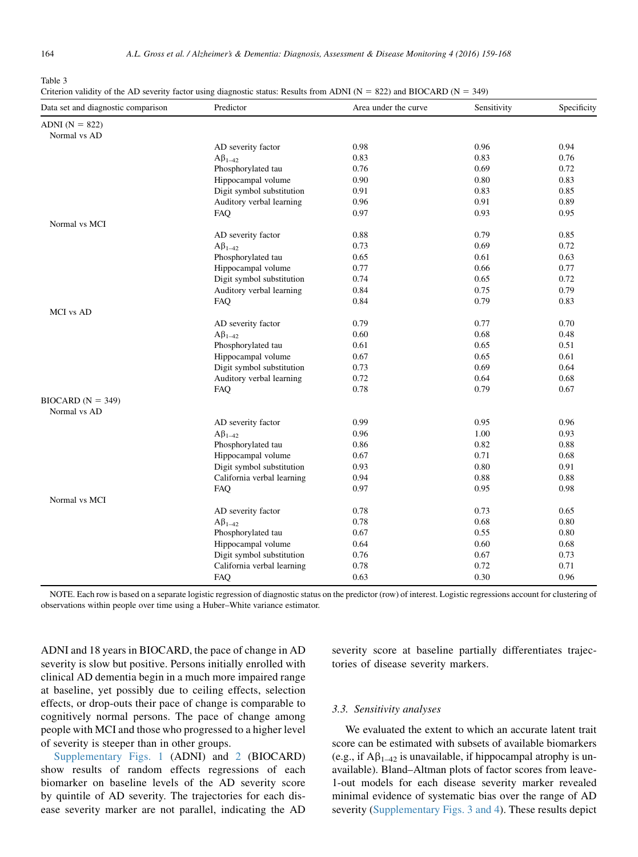<span id="page-5-0"></span>Table 3

Criterion validity of the AD severity factor using diagnostic status: Results from ADNI ( $N = 822$ ) and BIOCARD ( $N = 349$ )

| Data set and diagnostic comparison | Predictor                  | Area under the curve | Sensitivity | Specificity |
|------------------------------------|----------------------------|----------------------|-------------|-------------|
| ADNI ( $N = 822$ )                 |                            |                      |             |             |
| Normal vs AD                       |                            |                      |             |             |
|                                    | AD severity factor         | 0.98                 | 0.96        | 0.94        |
|                                    | $A\beta_{1-42}$            | 0.83                 | 0.83        | 0.76        |
|                                    | Phosphorylated tau         | 0.76                 | 0.69        | 0.72        |
|                                    | Hippocampal volume         | 0.90                 | 0.80        | 0.83        |
|                                    | Digit symbol substitution  | 0.91                 | 0.83        | 0.85        |
|                                    | Auditory verbal learning   | 0.96                 | 0.91        | 0.89        |
|                                    | FAQ                        | 0.97                 | 0.93        | 0.95        |
| Normal vs MCI                      |                            |                      |             |             |
|                                    | AD severity factor         | 0.88                 | 0.79        | 0.85        |
|                                    | $A\beta_{1-42}$            | 0.73                 | 0.69        | 0.72        |
|                                    | Phosphorylated tau         | 0.65                 | 0.61        | 0.63        |
|                                    | Hippocampal volume         | 0.77                 | 0.66        | 0.77        |
|                                    | Digit symbol substitution  | 0.74                 | 0.65        | 0.72        |
|                                    | Auditory verbal learning   | 0.84                 | 0.75        | 0.79        |
|                                    | FAQ                        | 0.84                 | 0.79        | 0.83        |
| <b>MCI</b> vs AD                   |                            |                      |             |             |
|                                    | AD severity factor         | 0.79                 | 0.77        | 0.70        |
|                                    | $A\beta_{1-42}$            | 0.60                 | 0.68        | 0.48        |
|                                    | Phosphorylated tau         | 0.61                 | 0.65        | 0.51        |
|                                    | Hippocampal volume         | 0.67                 | 0.65        | 0.61        |
|                                    | Digit symbol substitution  | 0.73                 | 0.69        | 0.64        |
|                                    | Auditory verbal learning   | 0.72                 | 0.64        | 0.68        |
|                                    | FAQ                        | 0.78                 | 0.79        | 0.67        |
| $BIOCARD (N = 349)$                |                            |                      |             |             |
| Normal vs AD                       |                            |                      |             |             |
|                                    | AD severity factor         | 0.99                 | 0.95        | 0.96        |
|                                    | $A\beta_{1-42}$            | 0.96                 | 1.00        | 0.93        |
|                                    | Phosphorylated tau         | 0.86                 | 0.82        | 0.88        |
|                                    | Hippocampal volume         | 0.67                 | 0.71        | 0.68        |
|                                    | Digit symbol substitution  | 0.93                 | 0.80        | 0.91        |
|                                    | California verbal learning | 0.94                 | 0.88        | 0.88        |
|                                    | FAQ                        | 0.97                 | 0.95        | 0.98        |
| Normal vs MCI                      |                            |                      |             |             |
|                                    | AD severity factor         | 0.78                 | 0.73        | 0.65        |
|                                    | $A\beta_{1-42}$            | 0.78                 | 0.68        | 0.80        |
|                                    | Phosphorylated tau         | 0.67                 | 0.55        | 0.80        |
|                                    | Hippocampal volume         | 0.64                 | 0.60        | 0.68        |
|                                    | Digit symbol substitution  | 0.76                 | 0.67        | 0.73        |
|                                    | California verbal learning | 0.78                 | 0.72        | 0.71        |
|                                    | FAQ                        | 0.63                 | 0.30        | 0.96        |
|                                    |                            |                      |             |             |

NOTE. Each row is based on a separate logistic regression of diagnostic status on the predictor (row) of interest. Logistic regressions account for clustering of observations within people over time using a Huber–White variance estimator.

ADNI and 18 years in BIOCARD, the pace of change in AD severity is slow but positive. Persons initially enrolled with clinical AD dementia begin in a much more impaired range at baseline, yet possibly due to ceiling effects, selection effects, or drop-outs their pace of change is comparable to cognitively normal persons. The pace of change among people with MCI and those who progressed to a higher level of severity is steeper than in other groups.

Supplementary Figs. 1 (ADNI) and 2 (BIOCARD) show results of random effects regressions of each biomarker on baseline levels of the AD severity score by quintile of AD severity. The trajectories for each disease severity marker are not parallel, indicating the AD severity score at baseline partially differentiates trajectories of disease severity markers.

#### 3.3. Sensitivity analyses

We evaluated the extent to which an accurate latent trait score can be estimated with subsets of available biomarkers (e.g., if  $A\beta_{1-42}$  is unavailable, if hippocampal atrophy is unavailable). Bland–Altman plots of factor scores from leave-1-out models for each disease severity marker revealed minimal evidence of systematic bias over the range of AD severity (Supplementary Figs. 3 and 4). These results depict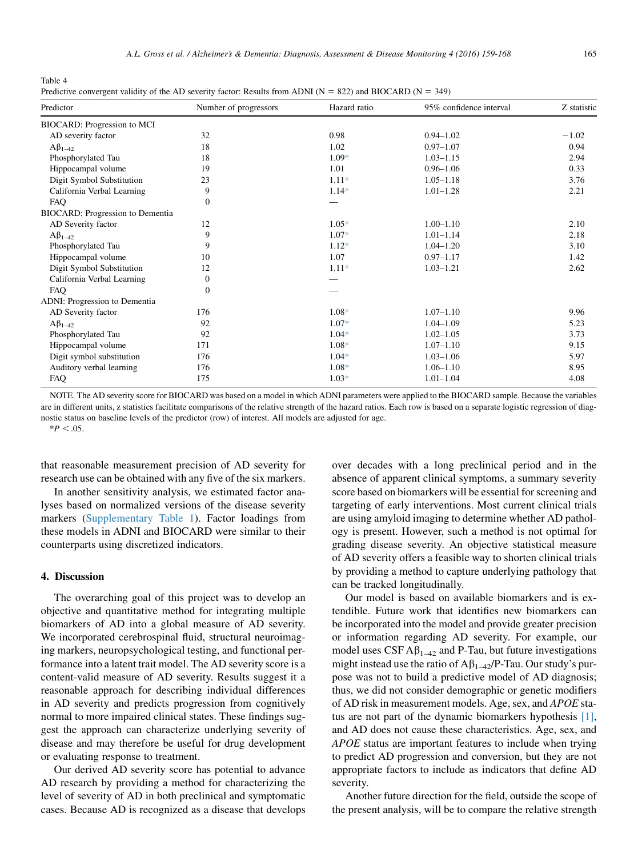<span id="page-6-0"></span>Table 4

|  |  | Predictive convergent validity of the AD severity factor: Results from ADNI ( $N = 822$ ) and BIOCARD ( $N = 349$ ) |
|--|--|---------------------------------------------------------------------------------------------------------------------|
|--|--|---------------------------------------------------------------------------------------------------------------------|

| Predictor                               | Number of progressors | Hazard ratio | 95% confidence interval | Z statistic |
|-----------------------------------------|-----------------------|--------------|-------------------------|-------------|
| <b>BIOCARD:</b> Progression to MCI      |                       |              |                         |             |
| AD severity factor                      | 32                    | 0.98         | $0.94 - 1.02$           | $-1.02$     |
| $A\beta_{1-42}$                         | 18                    | 1.02         | $0.97 - 1.07$           | 0.94        |
| Phosphorylated Tau                      | 18                    | $1.09*$      | $1.03 - 1.15$           | 2.94        |
| Hippocampal volume                      | 19                    | 1.01         | $0.96 - 1.06$           | 0.33        |
| Digit Symbol Substitution               | 23                    | $1.11*$      | $1.05 - 1.18$           | 3.76        |
| California Verbal Learning              | 9                     | $1.14*$      | $1.01 - 1.28$           | 2.21        |
| FAQ                                     | $\boldsymbol{0}$      |              |                         |             |
| <b>BIOCARD:</b> Progression to Dementia |                       |              |                         |             |
| AD Severity factor                      | 12                    | $1.05*$      | $1.00 - 1.10$           | 2.10        |
| $A\beta_{1-42}$                         | 9                     | $1.07*$      | $1.01 - 1.14$           | 2.18        |
| Phosphorylated Tau                      | 9                     | $1.12*$      | $1.04 - 1.20$           | 3.10        |
| Hippocampal volume                      | 10                    | 1.07         | $0.97 - 1.17$           | 1.42        |
| Digit Symbol Substitution               | 12                    | $1.11*$      | $1.03 - 1.21$           | 2.62        |
| California Verbal Learning              | $\boldsymbol{0}$      |              |                         |             |
| FAQ                                     | $\boldsymbol{0}$      |              |                         |             |
| <b>ADNI: Progression to Dementia</b>    |                       |              |                         |             |
| AD Severity factor                      | 176                   | $1.08*$      | $1.07 - 1.10$           | 9.96        |
| $A\beta_{1-42}$                         | 92                    | $1.07*$      | $1.04 - 1.09$           | 5.23        |
| Phosphorylated Tau                      | 92                    | $1.04*$      | $1.02 - 1.05$           | 3.73        |
| Hippocampal volume                      | 171                   | $1.08*$      | $1.07 - 1.10$           | 9.15        |
| Digit symbol substitution               | 176                   | $1.04*$      | $1.03 - 1.06$           | 5.97        |
| Auditory verbal learning                | 176                   | $1.08*$      | $1.06 - 1.10$           | 8.95        |
| FAQ                                     | 175                   | $1.03*$      | $1.01 - 1.04$           | 4.08        |

NOTE. The AD severity score for BIOCARD was based on a model in which ADNI parameters were applied to the BIOCARD sample. Because the variables are in different units, z statistics facilitate comparisons of the relative strength of the hazard ratios. Each row is based on a separate logistic regression of diagnostic status on baseline levels of the predictor (row) of interest. All models are adjusted for age.

 $*P < 05.$ 

that reasonable measurement precision of AD severity for research use can be obtained with any five of the six markers.

In another sensitivity analysis, we estimated factor analyses based on normalized versions of the disease severity markers (Supplementary Table 1). Factor loadings from these models in ADNI and BIOCARD were similar to their counterparts using discretized indicators.

#### 4. Discussion

The overarching goal of this project was to develop an objective and quantitative method for integrating multiple biomarkers of AD into a global measure of AD severity. We incorporated cerebrospinal fluid, structural neuroimaging markers, neuropsychological testing, and functional performance into a latent trait model. The AD severity score is a content-valid measure of AD severity. Results suggest it a reasonable approach for describing individual differences in AD severity and predicts progression from cognitively normal to more impaired clinical states. These findings suggest the approach can characterize underlying severity of disease and may therefore be useful for drug development or evaluating response to treatment.

Our derived AD severity score has potential to advance AD research by providing a method for characterizing the level of severity of AD in both preclinical and symptomatic cases. Because AD is recognized as a disease that develops over decades with a long preclinical period and in the absence of apparent clinical symptoms, a summary severity score based on biomarkers will be essential for screening and targeting of early interventions. Most current clinical trials are using amyloid imaging to determine whether AD pathology is present. However, such a method is not optimal for grading disease severity. An objective statistical measure of AD severity offers a feasible way to shorten clinical trials by providing a method to capture underlying pathology that can be tracked longitudinally.

Our model is based on available biomarkers and is extendible. Future work that identifies new biomarkers can be incorporated into the model and provide greater precision or information regarding AD severity. For example, our model uses  $CSF A\beta_{1-42}$  and P-Tau, but future investigations might instead use the ratio of  $A\beta_{1-42}/P$ -Tau. Our study's purpose was not to build a predictive model of AD diagnosis; thus, we did not consider demographic or genetic modifiers of AD risk in measurement models. Age, sex, and APOE status are not part of the dynamic biomarkers hypothesis [\[1\],](#page-8-0) and AD does not cause these characteristics. Age, sex, and APOE status are important features to include when trying to predict AD progression and conversion, but they are not appropriate factors to include as indicators that define AD severity.

Another future direction for the field, outside the scope of the present analysis, will be to compare the relative strength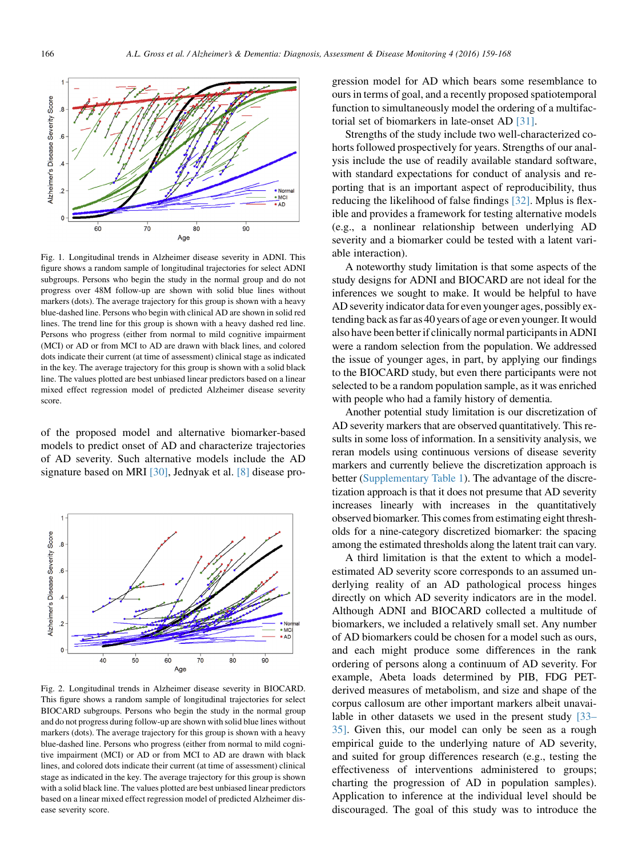<span id="page-7-0"></span>

Fig. 1. Longitudinal trends in Alzheimer disease severity in ADNI. This figure shows a random sample of longitudinal trajectories for select ADNI subgroups. Persons who begin the study in the normal group and do not progress over 48M follow-up are shown with solid blue lines without markers (dots). The average trajectory for this group is shown with a heavy blue-dashed line. Persons who begin with clinical AD are shown in solid red lines. The trend line for this group is shown with a heavy dashed red line. Persons who progress (either from normal to mild cognitive impairment (MCI) or AD or from MCI to AD are drawn with black lines, and colored dots indicate their current (at time of assessment) clinical stage as indicated in the key. The average trajectory for this group is shown with a solid black line. The values plotted are best unbiased linear predictors based on a linear mixed effect regression model of predicted Alzheimer disease severity score.

of the proposed model and alternative biomarker-based models to predict onset of AD and characterize trajectories of AD severity. Such alternative models include the AD signature based on MRI [\[30\],](#page-9-0) Jednyak et al. [\[8\]](#page-9-0) disease pro-



Fig. 2. Longitudinal trends in Alzheimer disease severity in BIOCARD. This figure shows a random sample of longitudinal trajectories for select BIOCARD subgroups. Persons who begin the study in the normal group and do not progress during follow-up are shown with solid blue lines without markers (dots). The average trajectory for this group is shown with a heavy blue-dashed line. Persons who progress (either from normal to mild cognitive impairment (MCI) or AD or from MCI to AD are drawn with black lines, and colored dots indicate their current (at time of assessment) clinical stage as indicated in the key. The average trajectory for this group is shown with a solid black line. The values plotted are best unbiased linear predictors based on a linear mixed effect regression model of predicted Alzheimer disease severity score.

gression model for AD which bears some resemblance to ours in terms of goal, and a recently proposed spatiotemporal function to simultaneously model the ordering of a multifactorial set of biomarkers in late-onset AD [\[31\].](#page-9-0)

Strengths of the study include two well-characterized cohorts followed prospectively for years. Strengths of our analysis include the use of readily available standard software, with standard expectations for conduct of analysis and reporting that is an important aspect of reproducibility, thus reducing the likelihood of false findings [\[32\].](#page-9-0) Mplus is flexible and provides a framework for testing alternative models (e.g., a nonlinear relationship between underlying AD severity and a biomarker could be tested with a latent variable interaction).

A noteworthy study limitation is that some aspects of the study designs for ADNI and BIOCARD are not ideal for the inferences we sought to make. It would be helpful to have AD severity indicator data for even younger ages, possibly extending back as far as 40 years of age or even younger. It would also have been better if clinically normal participants in ADNI were a random selection from the population. We addressed the issue of younger ages, in part, by applying our findings to the BIOCARD study, but even there participants were not selected to be a random population sample, as it was enriched with people who had a family history of dementia.

Another potential study limitation is our discretization of AD severity markers that are observed quantitatively. This results in some loss of information. In a sensitivity analysis, we reran models using continuous versions of disease severity markers and currently believe the discretization approach is better (Supplementary Table 1). The advantage of the discretization approach is that it does not presume that AD severity increases linearly with increases in the quantitatively observed biomarker. This comes from estimating eight thresholds for a nine-category discretized biomarker: the spacing among the estimated thresholds along the latent trait can vary.

A third limitation is that the extent to which a modelestimated AD severity score corresponds to an assumed underlying reality of an AD pathological process hinges directly on which AD severity indicators are in the model. Although ADNI and BIOCARD collected a multitude of biomarkers, we included a relatively small set. Any number of AD biomarkers could be chosen for a model such as ours, and each might produce some differences in the rank ordering of persons along a continuum of AD severity. For example, Abeta loads determined by PIB, FDG PETderived measures of metabolism, and size and shape of the corpus callosum are other important markers albeit unavailable in other datasets we used in the present study [\[33–](#page-9-0) [35\]](#page-9-0). Given this, our model can only be seen as a rough empirical guide to the underlying nature of AD severity, and suited for group differences research (e.g., testing the effectiveness of interventions administered to groups; charting the progression of AD in population samples). Application to inference at the individual level should be discouraged. The goal of this study was to introduce the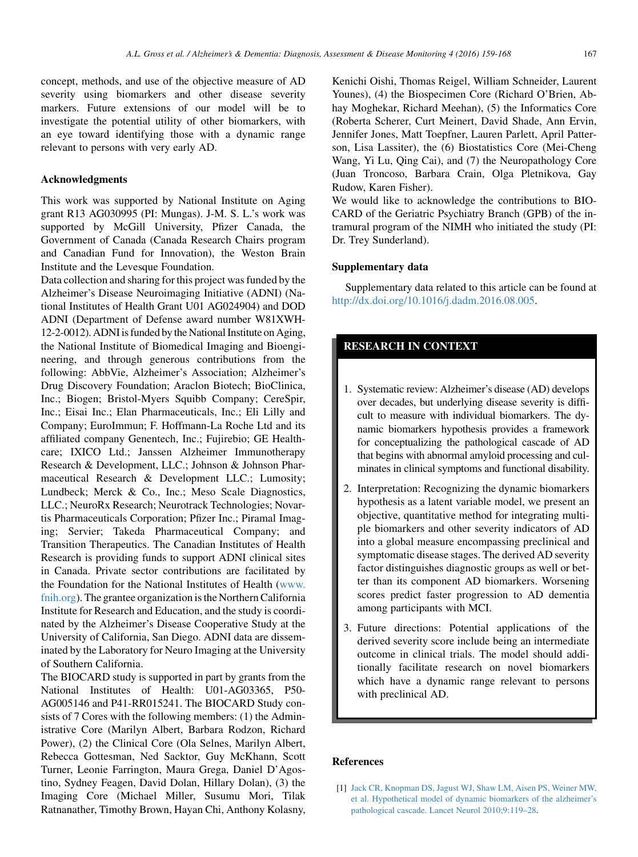<span id="page-8-0"></span>concept, methods, and use of the objective measure of AD severity using biomarkers and other disease severity markers. Future extensions of our model will be to investigate the potential utility of other biomarkers, with an eye toward identifying those with a dynamic range relevant to persons with very early AD.

#### Acknowledgments

This work was supported by National Institute on Aging grant R13 AG030995 (PI: Mungas). J-M. S. L.'s work was supported by McGill University, Pfizer Canada, the Government of Canada (Canada Research Chairs program and Canadian Fund for Innovation), the Weston Brain Institute and the Levesque Foundation.

Data collection and sharing for this project was funded by the Alzheimer's Disease Neuroimaging Initiative (ADNI) (National Institutes of Health Grant U01 AG024904) and DOD ADNI (Department of Defense award number W81XWH-12-2-0012). ADNI is funded by the National Institute on Aging, the National Institute of Biomedical Imaging and Bioengineering, and through generous contributions from the following: AbbVie, Alzheimer's Association; Alzheimer's Drug Discovery Foundation; Araclon Biotech; BioClinica, Inc.; Biogen; Bristol-Myers Squibb Company; CereSpir, Inc.; Eisai Inc.; Elan Pharmaceuticals, Inc.; Eli Lilly and Company; EuroImmun; F. Hoffmann-La Roche Ltd and its affiliated company Genentech, Inc.; Fujirebio; GE Healthcare; IXICO Ltd.; Janssen Alzheimer Immunotherapy Research & Development, LLC.; Johnson & Johnson Pharmaceutical Research & Development LLC.; Lumosity; Lundbeck; Merck & Co., Inc.; Meso Scale Diagnostics, LLC.; NeuroRx Research; Neurotrack Technologies; Novartis Pharmaceuticals Corporation; Pfizer Inc.; Piramal Imaging; Servier; Takeda Pharmaceutical Company; and Transition Therapeutics. The Canadian Institutes of Health Research is providing funds to support ADNI clinical sites in Canada. Private sector contributions are facilitated by the Foundation for the National Institutes of Health ([www.](http://www.fnih.org) [fnih.org\)](http://www.fnih.org). The grantee organization is the Northern California Institute for Research and Education, and the study is coordinated by the Alzheimer's Disease Cooperative Study at the University of California, San Diego. ADNI data are disseminated by the Laboratory for Neuro Imaging at the University of Southern California.

The BIOCARD study is supported in part by grants from the National Institutes of Health: U01-AG03365, P50- AG005146 and P41-RR015241. The BIOCARD Study consists of 7 Cores with the following members: (1) the Administrative Core (Marilyn Albert, Barbara Rodzon, Richard Power), (2) the Clinical Core (Ola Selnes, Marilyn Albert, Rebecca Gottesman, Ned Sacktor, Guy McKhann, Scott Turner, Leonie Farrington, Maura Grega, Daniel D'Agostino, Sydney Feagen, David Dolan, Hillary Dolan), (3) the Imaging Core (Michael Miller, Susumu Mori, Tilak Ratnanather, Timothy Brown, Hayan Chi, Anthony Kolasny, Kenichi Oishi, Thomas Reigel, William Schneider, Laurent Younes), (4) the Biospecimen Core (Richard O'Brien, Abhay Moghekar, Richard Meehan), (5) the Informatics Core (Roberta Scherer, Curt Meinert, David Shade, Ann Ervin, Jennifer Jones, Matt Toepfner, Lauren Parlett, April Patterson, Lisa Lassiter), the (6) Biostatistics Core (Mei-Cheng Wang, Yi Lu, Qing Cai), and (7) the Neuropathology Core (Juan Troncoso, Barbara Crain, Olga Pletnikova, Gay Rudow, Karen Fisher).

We would like to acknowledge the contributions to BIO-CARD of the Geriatric Psychiatry Branch (GPB) of the intramural program of the NIMH who initiated the study (PI: Dr. Trey Sunderland).

# Supplementary data

Supplementary data related to this article can be found at [http://dx.doi.org/10.1016/j.dadm.2016.08.005.](http://dx.doi.org/10.1016/j.dadm.2016.08.005)

# RESEARCH IN CONTEXT

- 1. Systematic review: Alzheimer's disease (AD) develops over decades, but underlying disease severity is difficult to measure with individual biomarkers. The dynamic biomarkers hypothesis provides a framework for conceptualizing the pathological cascade of AD that begins with abnormal amyloid processing and culminates in clinical symptoms and functional disability.
- 2. Interpretation: Recognizing the dynamic biomarkers hypothesis as a latent variable model, we present an objective, quantitative method for integrating multiple biomarkers and other severity indicators of AD into a global measure encompassing preclinical and symptomatic disease stages. The derived AD severity factor distinguishes diagnostic groups as well or better than its component AD biomarkers. Worsening scores predict faster progression to AD dementia among participants with MCI.
- 3. Future directions: Potential applications of the derived severity score include being an intermediate outcome in clinical trials. The model should additionally facilitate research on novel biomarkers which have a dynamic range relevant to persons with preclinical AD.

#### References

[1] [Jack CR, Knopman DS, Jagust WJ, Shaw LM, Aisen PS, Weiner MW,](http://refhub.elsevier.com/S2352-8729(16)30045-8/sref1) [et al. Hypothetical model of dynamic biomarkers of the alzheimer's](http://refhub.elsevier.com/S2352-8729(16)30045-8/sref1) [pathological cascade. Lancet Neurol 2010;9:119–28](http://refhub.elsevier.com/S2352-8729(16)30045-8/sref1).